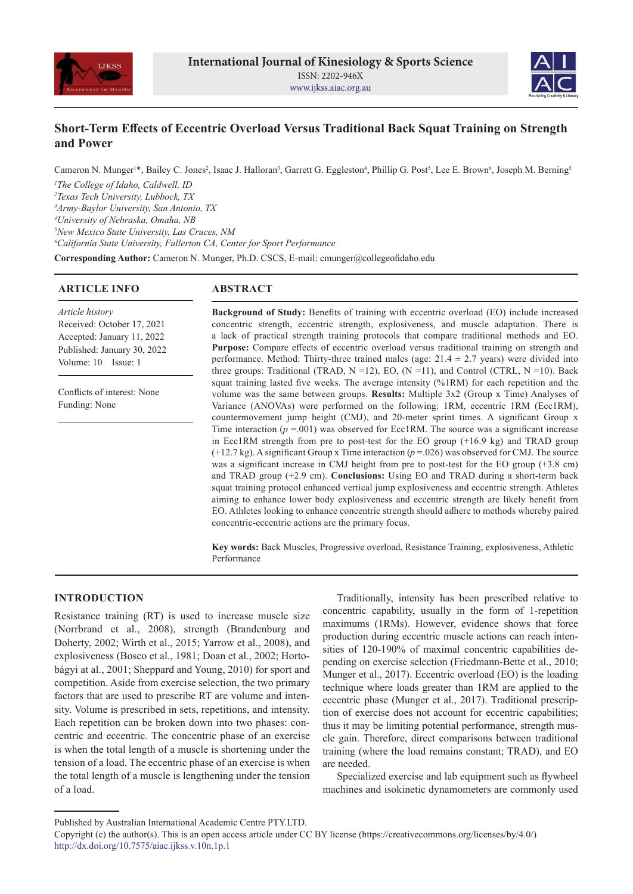



# **Short-Term Effects of Eccentric Overload Versus Traditional Back Squat Training on Strength and Power**

Cameron N. Munger<sup>1\*</sup>, Bailey C. Jones<sup>2</sup>, Isaac J. Halloran<sup>3</sup>, Garrett G. Eggleston<sup>4</sup>, Phillip G. Post<sup>5</sup>, Lee E. Brown<sup>6</sup>, Joseph M. Berning<sup>5</sup> *The College of Idaho, Caldwell, ID Texas Tech University, Lubbock, TX Army-Baylor University, San Antonio, TX University of Nebraska, Omaha, NB New Mexico State University, Las Cruces, NM California State University, Fullerton CA, Center for Sport Performance*

**Corresponding Author:** Cameron N. Munger, Ph.D. CSCS, E-mail: cmunger@collegeofidaho.edu

# **ARTICLE INFO**

# **ABSTRACT**

*Article history* Received: October 17, 2021 Accepted: January 11, 2022 Published: January 30, 2022 Volume: 10 Issue: 1

Conflicts of interest: None Funding: None

**Background of Study:** Benefits of training with eccentric overload (EO) include increased concentric strength, eccentric strength, explosiveness, and muscle adaptation. There is a lack of practical strength training protocols that compare traditional methods and EO. **Purpose:** Compare effects of eccentric overload versus traditional training on strength and performance. Method: Thirty-three trained males (age:  $21.4 \pm 2.7$  years) were divided into three groups: Traditional (TRAD,  $N = 12$ ), EO,  $(N = 11)$ , and Control (CTRL,  $N = 10$ ). Back squat training lasted five weeks. The average intensity (%1RM) for each repetition and the volume was the same between groups. **Results:** Multiple 3x2 (Group x Time) Analyses of Variance (ANOVAs) were performed on the following: 1RM, eccentric 1RM (Ecc1RM), countermovement jump height (CMJ), and 20-meter sprint times. A significant Group x Time interaction ( $p = .001$ ) was observed for Ecc1RM. The source was a significant increase in Ecc1RM strength from pre to post-test for the EO group (+16.9 kg) and TRAD group  $(+12.7 \text{ kg})$ . A significant Group x Time interaction ( $p = 0.026$ ) was observed for CMJ. The source was a significant increase in CMJ height from pre to post-test for the EO group (+3.8 cm) and TRAD group (+2.9 cm). **Conclusions:** Using EO and TRAD during a short-term back squat training protocol enhanced vertical jump explosiveness and eccentric strength. Athletes aiming to enhance lower body explosiveness and eccentric strength are likely benefit from EO. Athletes looking to enhance concentric strength should adhere to methods whereby paired concentric-eccentric actions are the primary focus.

**Key words:** Back Muscles, Progressive overload, Resistance Training, explosiveness, Athletic Performance

# **INTRODUCTION**

Resistance training (RT) is used to increase muscle size (Norrbrand et al., 2008), strength (Brandenburg and Doherty, 2002; Wirth et al., 2015; Yarrow et al., 2008), and explosiveness (Bosco et al., 1981; Doan et al., 2002; Hortobágyi at al., 2001; Sheppard and Young, 2010) for sport and competition. Aside from exercise selection, the two primary factors that are used to prescribe RT are volume and intensity. Volume is prescribed in sets, repetitions, and intensity. Each repetition can be broken down into two phases: concentric and eccentric. The concentric phase of an exercise is when the total length of a muscle is shortening under the tension of a load. The eccentric phase of an exercise is when the total length of a muscle is lengthening under the tension of a load.

Traditionally, intensity has been prescribed relative to concentric capability, usually in the form of 1-repetition maximums (1RMs). However, evidence shows that force production during eccentric muscle actions can reach intensities of 120-190% of maximal concentric capabilities depending on exercise selection (Friedmann-Bette et al., 2010; Munger et al., 2017). Eccentric overload (EO) is the loading technique where loads greater than 1RM are applied to the eccentric phase (Munger et al., 2017). Traditional prescription of exercise does not account for eccentric capabilities; thus it may be limiting potential performance, strength muscle gain. Therefore, direct comparisons between traditional training (where the load remains constant; TRAD), and EO are needed.

Specialized exercise and lab equipment such as flywheel machines and isokinetic dynamometers are commonly used

Published by Australian International Academic Centre PTY.LTD.

Copyright (c) the author(s). This is an open access article under CC BY license (https://creativecommons.org/licenses/by/4.0/) http://dx.doi.org/10.7575/aiac.ijkss.v.10n.1p.1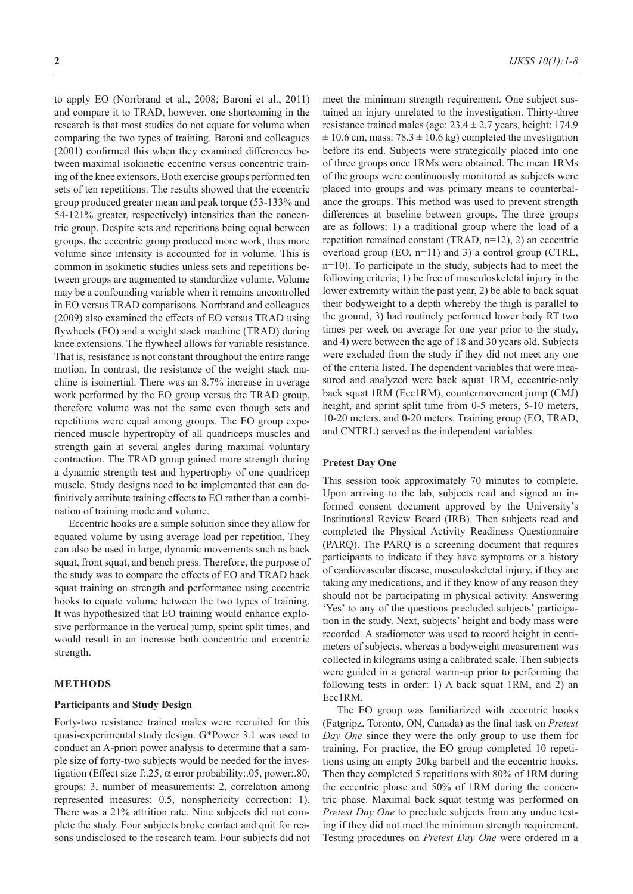to apply EO (Norrbrand et al., 2008; Baroni et al., 2011) and compare it to TRAD, however, one shortcoming in the research is that most studies do not equate for volume when comparing the two types of training. Baroni and colleagues (2001) confirmed this when they examined differences between maximal isokinetic eccentric versus concentric training of the knee extensors. Both exercise groups performed ten sets of ten repetitions. The results showed that the eccentric group produced greater mean and peak torque (53-133% and 54-121% greater, respectively) intensities than the concentric group. Despite sets and repetitions being equal between groups, the eccentric group produced more work, thus more volume since intensity is accounted for in volume. This is common in isokinetic studies unless sets and repetitions between groups are augmented to standardize volume. Volume may be a confounding variable when it remains uncontrolled in EO versus TRAD comparisons. Norrbrand and colleagues (2009) also examined the effects of EO versus TRAD using flywheels (EO) and a weight stack machine (TRAD) during knee extensions. The flywheel allows for variable resistance. That is, resistance is not constant throughout the entire range motion. In contrast, the resistance of the weight stack machine is isoinertial. There was an 8.7% increase in average work performed by the EO group versus the TRAD group, therefore volume was not the same even though sets and repetitions were equal among groups. The EO group experienced muscle hypertrophy of all quadriceps muscles and strength gain at several angles during maximal voluntary contraction. The TRAD group gained more strength during a dynamic strength test and hypertrophy of one quadricep muscle. Study designs need to be implemented that can definitively attribute training effects to EO rather than a combination of training mode and volume.

Eccentric hooks are a simple solution since they allow for equated volume by using average load per repetition. They can also be used in large, dynamic movements such as back squat, front squat, and bench press. Therefore, the purpose of the study was to compare the effects of EO and TRAD back squat training on strength and performance using eccentric hooks to equate volume between the two types of training. It was hypothesized that EO training would enhance explosive performance in the vertical jump, sprint split times, and would result in an increase both concentric and eccentric strength.

## **METHODS**

## **Participants and Study Design**

Forty-two resistance trained males were recruited for this quasi-experimental study design. G\*Power 3.1 was used to conduct an A-priori power analysis to determine that a sample size of forty-two subjects would be needed for the investigation (Effect size f:.25,  $\alpha$  error probability:.05, power:.80, groups: 3, number of measurements: 2, correlation among represented measures: 0.5, nonsphericity correction: 1). There was a 21% attrition rate. Nine subjects did not complete the study. Four subjects broke contact and quit for reasons undisclosed to the research team. Four subjects did not

meet the minimum strength requirement. One subject sustained an injury unrelated to the investigation. Thirty-three resistance trained males (age:  $23.4 \pm 2.7$  years, height: 174.9  $\pm$  10.6 cm, mass: 78.3  $\pm$  10.6 kg) completed the investigation before its end. Subjects were strategically placed into one of three groups once 1RMs were obtained. The mean 1RMs of the groups were continuously monitored as subjects were placed into groups and was primary means to counterbalance the groups. This method was used to prevent strength differences at baseline between groups. The three groups are as follows: 1) a traditional group where the load of a repetition remained constant (TRAD, n=12), 2) an eccentric overload group (EO, n=11) and 3) a control group (CTRL, n=10). To participate in the study, subjects had to meet the following criteria; 1) be free of musculoskeletal injury in the lower extremity within the past year, 2) be able to back squat their bodyweight to a depth whereby the thigh is parallel to the ground, 3) had routinely performed lower body RT two times per week on average for one year prior to the study, and 4) were between the age of 18 and 30 years old. Subjects were excluded from the study if they did not meet any one of the criteria listed. The dependent variables that were measured and analyzed were back squat 1RM, eccentric-only back squat 1RM (Ecc1RM), countermovement jump (CMJ) height, and sprint split time from 0-5 meters, 5-10 meters, 10-20 meters, and 0-20 meters. Training group (EO, TRAD, and CNTRL) served as the independent variables.

### **Pretest Day One**

This session took approximately 70 minutes to complete. Upon arriving to the lab, subjects read and signed an informed consent document approved by the University's Institutional Review Board (IRB). Then subjects read and completed the Physical Activity Readiness Questionnaire (PARQ). The PARQ is a screening document that requires participants to indicate if they have symptoms or a history of cardiovascular disease, musculoskeletal injury, if they are taking any medications, and if they know of any reason they should not be participating in physical activity. Answering 'Yes' to any of the questions precluded subjects' participation in the study. Next, subjects' height and body mass were recorded. A stadiometer was used to record height in centimeters of subjects, whereas a bodyweight measurement was collected in kilograms using a calibrated scale. Then subjects were guided in a general warm-up prior to performing the following tests in order: 1) A back squat 1RM, and 2) an Ecc1RM.

The EO group was familiarized with eccentric hooks (Fatgripz, Toronto, ON, Canada) as the final task on *Pretest Day One* since they were the only group to use them for training. For practice, the EO group completed 10 repetitions using an empty 20kg barbell and the eccentric hooks. Then they completed 5 repetitions with 80% of 1RM during the eccentric phase and 50% of 1RM during the concentric phase. Maximal back squat testing was performed on *Pretest Day One* to preclude subjects from any undue testing if they did not meet the minimum strength requirement. Testing procedures on *Pretest Day One* were ordered in a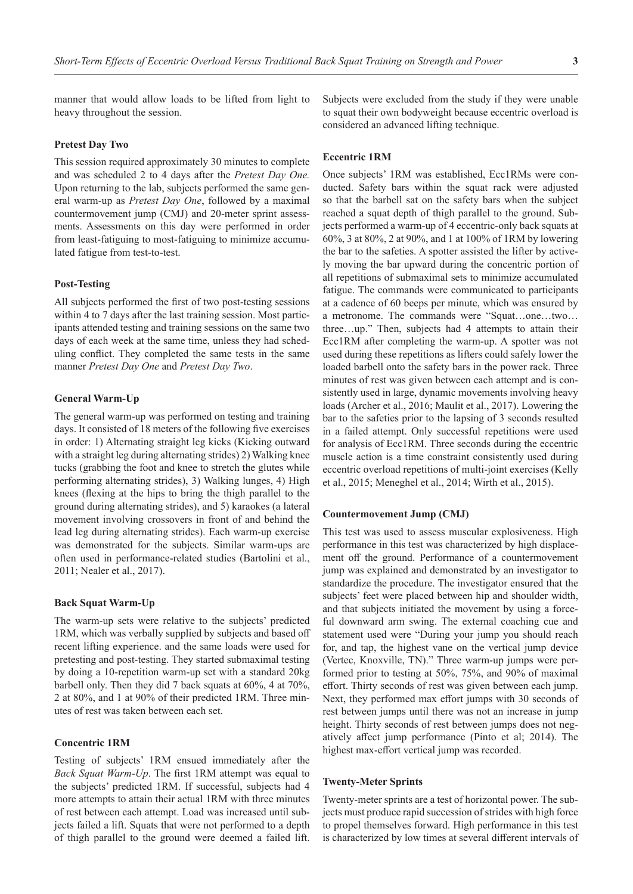manner that would allow loads to be lifted from light to heavy throughout the session.

# **Pretest Day Two**

This session required approximately 30 minutes to complete and was scheduled 2 to 4 days after the *Pretest Day One.*  Upon returning to the lab, subjects performed the same general warm-up as *Pretest Day One*, followed by a maximal countermovement jump (CMJ) and 20-meter sprint assessments. Assessments on this day were performed in order from least-fatiguing to most-fatiguing to minimize accumulated fatigue from test-to-test.

# **Post-Testing**

All subjects performed the first of two post-testing sessions within 4 to 7 days after the last training session. Most participants attended testing and training sessions on the same two days of each week at the same time, unless they had scheduling conflict. They completed the same tests in the same manner *Pretest Day One* and *Pretest Day Two*.

# **General Warm-Up**

The general warm-up was performed on testing and training days. It consisted of 18 meters of the following five exercises in order: 1) Alternating straight leg kicks (Kicking outward with a straight leg during alternating strides) 2) Walking knee tucks (grabbing the foot and knee to stretch the glutes while performing alternating strides), 3) Walking lunges, 4) High knees (flexing at the hips to bring the thigh parallel to the ground during alternating strides), and 5) karaokes (a lateral movement involving crossovers in front of and behind the lead leg during alternating strides). Each warm-up exercise was demonstrated for the subjects. Similar warm-ups are often used in performance-related studies (Bartolini et al., 2011; Nealer et al., 2017).

### **Back Squat Warm-Up**

The warm-up sets were relative to the subjects' predicted 1RM, which was verbally supplied by subjects and based off recent lifting experience. and the same loads were used for pretesting and post-testing. They started submaximal testing by doing a 10-repetition warm-up set with a standard 20kg barbell only. Then they did 7 back squats at 60%, 4 at 70%, 2 at 80%, and 1 at 90% of their predicted 1RM. Three minutes of rest was taken between each set.

### **Concentric 1RM**

Testing of subjects' 1RM ensued immediately after the *Back Squat Warm-Up*. The first 1RM attempt was equal to the subjects' predicted 1RM. If successful, subjects had 4 more attempts to attain their actual 1RM with three minutes of rest between each attempt. Load was increased until subjects failed a lift. Squats that were not performed to a depth of thigh parallel to the ground were deemed a failed lift. Subjects were excluded from the study if they were unable to squat their own bodyweight because eccentric overload is considered an advanced lifting technique.

## **Eccentric 1RM**

Once subjects' 1RM was established, Ecc1RMs were conducted. Safety bars within the squat rack were adjusted so that the barbell sat on the safety bars when the subject reached a squat depth of thigh parallel to the ground. Subjects performed a warm-up of 4 eccentric-only back squats at 60%, 3 at 80%, 2 at 90%, and 1 at 100% of 1RM by lowering the bar to the safeties. A spotter assisted the lifter by actively moving the bar upward during the concentric portion of all repetitions of submaximal sets to minimize accumulated fatigue. The commands were communicated to participants at a cadence of 60 beeps per minute, which was ensured by a metronome. The commands were "Squat…one…two… three…up." Then, subjects had 4 attempts to attain their Ecc1RM after completing the warm-up. A spotter was not used during these repetitions as lifters could safely lower the loaded barbell onto the safety bars in the power rack. Three minutes of rest was given between each attempt and is consistently used in large, dynamic movements involving heavy loads (Archer et al., 2016; Maulit et al., 2017). Lowering the bar to the safeties prior to the lapsing of 3 seconds resulted in a failed attempt. Only successful repetitions were used for analysis of Ecc1RM. Three seconds during the eccentric muscle action is a time constraint consistently used during eccentric overload repetitions of multi-joint exercises (Kelly et al., 2015; Meneghel et al., 2014; Wirth et al., 2015).

#### **Countermovement Jump (CMJ)**

This test was used to assess muscular explosiveness. High performance in this test was characterized by high displacement off the ground. Performance of a countermovement jump was explained and demonstrated by an investigator to standardize the procedure. The investigator ensured that the subjects' feet were placed between hip and shoulder width, and that subjects initiated the movement by using a forceful downward arm swing. The external coaching cue and statement used were "During your jump you should reach for, and tap, the highest vane on the vertical jump device (Vertec, Knoxville, TN)." Three warm-up jumps were performed prior to testing at 50%, 75%, and 90% of maximal effort. Thirty seconds of rest was given between each jump. Next, they performed max effort jumps with 30 seconds of rest between jumps until there was not an increase in jump height. Thirty seconds of rest between jumps does not negatively affect jump performance (Pinto et al; 2014). The highest max-effort vertical jump was recorded.

#### **Twenty-Meter Sprints**

Twenty-meter sprints are a test of horizontal power. The subjects must produce rapid succession of strides with high force to propel themselves forward. High performance in this test is characterized by low times at several different intervals of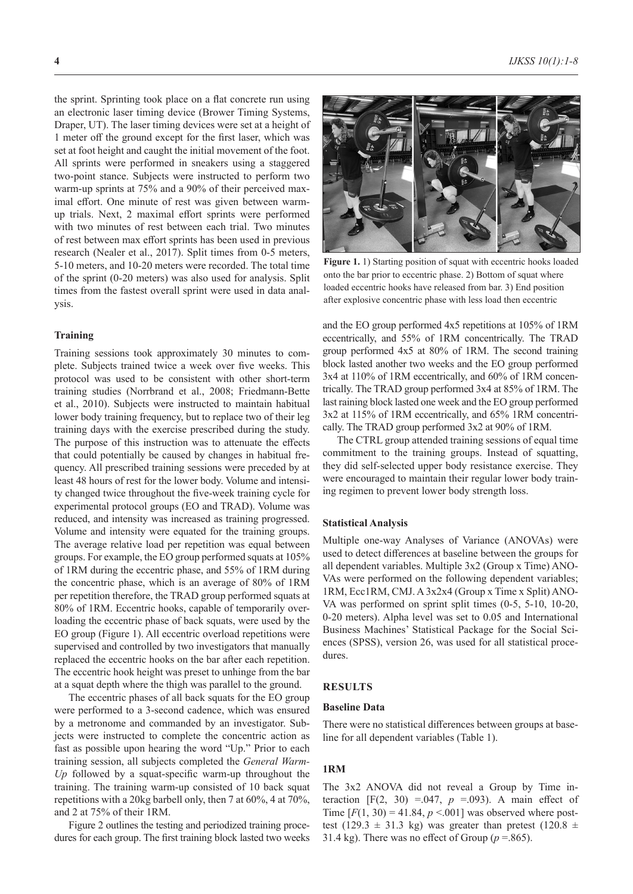the sprint. Sprinting took place on a flat concrete run using an electronic laser timing device (Brower Timing Systems, Draper, UT). The laser timing devices were set at a height of 1 meter off the ground except for the first laser, which was set at foot height and caught the initial movement of the foot. All sprints were performed in sneakers using a staggered two-point stance. Subjects were instructed to perform two warm-up sprints at 75% and a 90% of their perceived maximal effort. One minute of rest was given between warmup trials. Next, 2 maximal effort sprints were performed with two minutes of rest between each trial. Two minutes of rest between max effort sprints has been used in previous research (Nealer et al., 2017). Split times from 0-5 meters, 5-10 meters, and 10-20 meters were recorded. The total time of the sprint (0-20 meters) was also used for analysis. Split times from the fastest overall sprint were used in data analysis.

#### **Training**

Training sessions took approximately 30 minutes to complete. Subjects trained twice a week over five weeks. This protocol was used to be consistent with other short-term training studies (Norrbrand et al., 2008; Friedmann-Bette et al., 2010). Subjects were instructed to maintain habitual lower body training frequency, but to replace two of their leg training days with the exercise prescribed during the study. The purpose of this instruction was to attenuate the effects that could potentially be caused by changes in habitual frequency. All prescribed training sessions were preceded by at least 48 hours of rest for the lower body. Volume and intensity changed twice throughout the five-week training cycle for experimental protocol groups (EO and TRAD). Volume was reduced, and intensity was increased as training progressed. Volume and intensity were equated for the training groups. The average relative load per repetition was equal between groups. For example, the EO group performed squats at 105% of 1RM during the eccentric phase, and 55% of 1RM during the concentric phase, which is an average of 80% of 1RM per repetition therefore, the TRAD group performed squats at 80% of 1RM. Eccentric hooks, capable of temporarily overloading the eccentric phase of back squats, were used by the EO group (Figure 1). All eccentric overload repetitions were supervised and controlled by two investigators that manually replaced the eccentric hooks on the bar after each repetition. The eccentric hook height was preset to unhinge from the bar at a squat depth where the thigh was parallel to the ground.

The eccentric phases of all back squats for the EO group were performed to a 3-second cadence, which was ensured by a metronome and commanded by an investigator. Subjects were instructed to complete the concentric action as fast as possible upon hearing the word "Up." Prior to each training session, all subjects completed the *General Warm-Up* followed by a squat-specific warm-up throughout the training. The training warm-up consisted of 10 back squat repetitions with a 20kg barbell only, then 7 at 60%, 4 at 70%, and 2 at 75% of their 1RM.

Figure 2 outlines the testing and periodized training procedures for each group. The first training block lasted two weeks



**Figure 1.** 1) Starting position of squat with eccentric hooks loaded onto the bar prior to eccentric phase. 2) Bottom of squat where loaded eccentric hooks have released from bar. 3) End position after explosive concentric phase with less load then eccentric

and the EO group performed 4x5 repetitions at 105% of 1RM eccentrically, and 55% of 1RM concentrically. The TRAD group performed 4x5 at 80% of 1RM. The second training block lasted another two weeks and the EO group performed 3x4 at 110% of 1RM eccentrically, and 60% of 1RM concentrically. The TRAD group performed 3x4 at 85% of 1RM. The last raining block lasted one week and the EO group performed 3x2 at 115% of 1RM eccentrically, and 65% 1RM concentrically. The TRAD group performed 3x2 at 90% of 1RM.

The CTRL group attended training sessions of equal time commitment to the training groups. Instead of squatting, they did self-selected upper body resistance exercise. They were encouraged to maintain their regular lower body training regimen to prevent lower body strength loss.

#### **Statistical Analysis**

Multiple one-way Analyses of Variance (ANOVAs) were used to detect differences at baseline between the groups for all dependent variables. Multiple 3x2 (Group x Time) ANO-VAs were performed on the following dependent variables; 1RM, Ecc1RM, CMJ. A 3x2x4 (Group x Time x Split) ANO-VA was performed on sprint split times (0-5, 5-10, 10-20, 0-20 meters). Alpha level was set to 0.05 and International Business Machines' Statistical Package for the Social Sciences (SPSS), version 26, was used for all statistical procedures.

#### **RESULTS**

#### **Baseline Data**

There were no statistical differences between groups at baseline for all dependent variables (Table 1).

#### **1RM**

The 3x2 ANOVA did not reveal a Group by Time interaction  $[F(2, 30) = .047, p = .093)$ . A main effect of Time  $[F(1, 30) = 41.84, p < .001]$  was observed where posttest (129.3  $\pm$  31.3 kg) was greater than pretest (120.8  $\pm$ 31.4 kg). There was no effect of Group ( $p = .865$ ).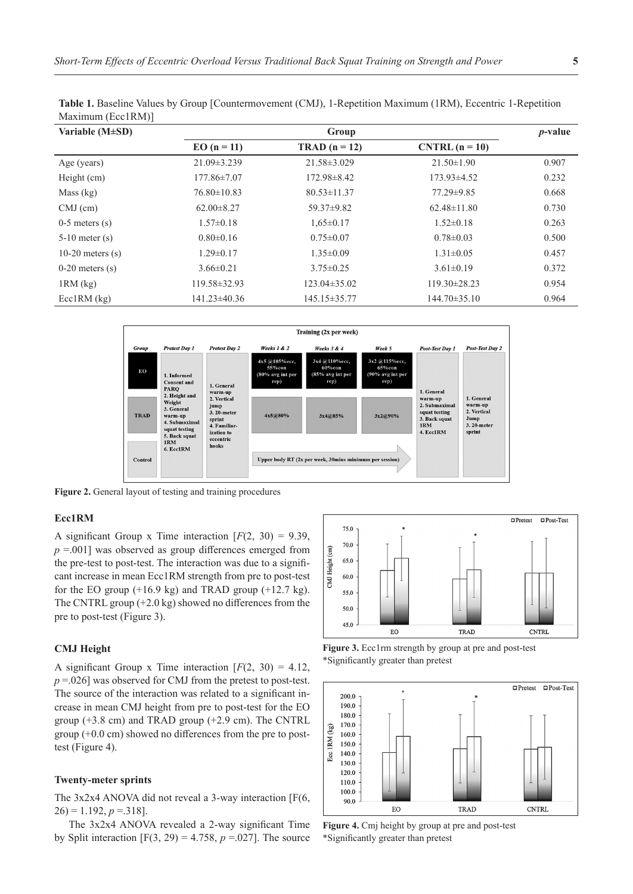| $\overline{\phantom{0}}$ |                    |                    |                    |            |
|--------------------------|--------------------|--------------------|--------------------|------------|
| Variable $(M\pm SD)$     | Group              |                    |                    | $p$ -value |
|                          | $EO (n = 11)$      | $TRAD (n = 12)$    | $CNTRL (n = 10)$   |            |
| Age (years)              | $21.09 \pm 3.239$  | $21.58 \pm 3.029$  | $21.50 \pm 1.90$   | 0.907      |
| Height (cm)              | $177.86 \pm 7.07$  | 172.98±8.42        | $173.93\pm4.52$    | 0.232      |
| Mass $(kg)$              | $76.80 \pm 10.83$  | $80.53 \pm 11.37$  | 77.29±9.85         | 0.668      |
| $CMJ$ (cm)               | $62.00 \pm 8.27$   | $59.37 \pm 9.82$   | $62.48 \pm 11.80$  | 0.730      |
| $0-5$ meters $(s)$       | $1.57 \pm 0.18$    | $1,65 \pm 0.17$    | $1.52 \pm 0.18$    | 0.263      |
| $5-10$ meter $(s)$       | $0.80 \pm 0.16$    | $0.75 \pm 0.07$    | $0.78 \pm 0.03$    | 0.500      |
| 10-20 meters $(s)$       | $1.29 \pm 0.17$    | $1.35 \pm 0.09$    | $1.31 \pm 0.05$    | 0.457      |
| $0-20$ meters $(s)$      | $3.66 \pm 0.21$    | $3.75 \pm 0.25$    | $3.61 \pm 0.19$    | 0.372      |
| $1RM$ (kg)               | $119.58 \pm 32.93$ | $123.04 \pm 35.02$ | $119.30 \pm 28.23$ | 0.954      |
| $EcclRM$ $(kg)$          | $141.23 \pm 40.36$ | 145.15±35.77       | 144.70±35.10       | 0.964      |

**Table 1.** Baseline Values by Group [Countermovement (CMJ), 1-Repetition Maximum (1RM), Eccentric 1-Repetition Maximum (Ecc1RM)]



**Figure 2.** General layout of testing and training procedures

# **Ecc1RM**

A significant Group x Time interaction  $[F(2, 30) = 9.39]$ , *p* =.001] was observed as group differences emerged from the pre-test to post-test. The interaction was due to a significant increase in mean Ecc1RM strength from pre to post-test for the EO group  $(+16.9 \text{ kg})$  and TRAD group  $(+12.7 \text{ kg})$ . The CNTRL group (+2.0 kg) showed no differences from the pre to post-test (Figure 3).

# **CMJ Height**

A significant Group x Time interaction  $[F(2, 30) = 4.12]$ , *p* = 026] was observed for CMJ from the pretest to post-test. The source of the interaction was related to a significant increase in mean CMJ height from pre to post-test for the EO group  $(+3.8 \text{ cm})$  and TRAD group  $(+2.9 \text{ cm})$ . The CNTRL group (+0.0 cm) showed no differences from the pre to posttest (Figure 4).

#### **Twenty-meter sprints**

The 3x2x4 ANOVA did not reveal a 3-way interaction [F(6,  $26$ ) = 1.192,  $p = 318$ ].

The 3x2x4 ANOVA revealed a 2-way significant Time by Split interaction  $[F(3, 29) = 4.758, p = .027]$ . The source



**Figure 3.** Ecc1rm strength by group at pre and post-test \*Significantly greater than pretest



**Figure 4.** Cmj height by group at pre and post-test \*Significantly greater than pretest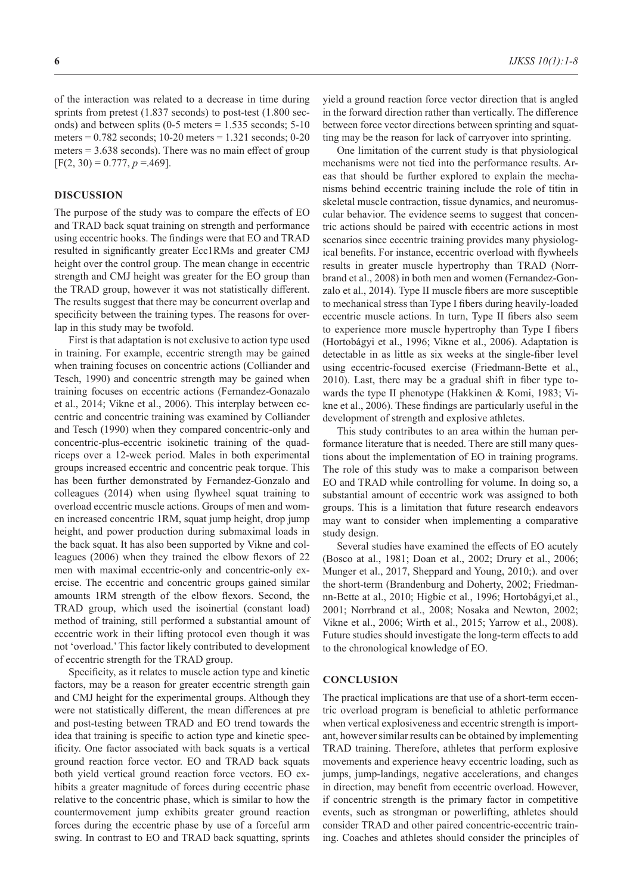of the interaction was related to a decrease in time during sprints from pretest (1.837 seconds) to post-test (1.800 seconds) and between splits  $(0-5 \text{ meters} = 1.535 \text{ seconds}; 5-10$ meters = 0.782 seconds; 10-20 meters = 1.321 seconds; 0-20 meters = 3.638 seconds). There was no main effect of group  $[F(2, 30) = 0.777, p = 469].$ 

## **DISCUSSION**

The purpose of the study was to compare the effects of EO and TRAD back squat training on strength and performance using eccentric hooks. The findings were that EO and TRAD resulted in significantly greater Ecc1RMs and greater CMJ height over the control group. The mean change in eccentric strength and CMJ height was greater for the EO group than the TRAD group, however it was not statistically different. The results suggest that there may be concurrent overlap and specificity between the training types. The reasons for overlap in this study may be twofold.

First is that adaptation is not exclusive to action type used in training. For example, eccentric strength may be gained when training focuses on concentric actions (Colliander and Tesch, 1990) and concentric strength may be gained when training focuses on eccentric actions (Fernandez-Gonazalo et al., 2014; Vikne et al., 2006). This interplay between eccentric and concentric training was examined by Colliander and Tesch (1990) when they compared concentric-only and concentric-plus-eccentric isokinetic training of the quadriceps over a 12-week period. Males in both experimental groups increased eccentric and concentric peak torque. This has been further demonstrated by Fernandez-Gonzalo and colleagues (2014) when using flywheel squat training to overload eccentric muscle actions. Groups of men and women increased concentric 1RM, squat jump height, drop jump height, and power production during submaximal loads in the back squat. It has also been supported by Vikne and colleagues (2006) when they trained the elbow flexors of 22 men with maximal eccentric-only and concentric-only exercise. The eccentric and concentric groups gained similar amounts 1RM strength of the elbow flexors. Second, the TRAD group, which used the isoinertial (constant load) method of training, still performed a substantial amount of eccentric work in their lifting protocol even though it was not 'overload.' This factor likely contributed to development of eccentric strength for the TRAD group.

Specificity, as it relates to muscle action type and kinetic factors, may be a reason for greater eccentric strength gain and CMJ height for the experimental groups. Although they were not statistically different, the mean differences at pre and post-testing between TRAD and EO trend towards the idea that training is specific to action type and kinetic specificity. One factor associated with back squats is a vertical ground reaction force vector. EO and TRAD back squats both yield vertical ground reaction force vectors. EO exhibits a greater magnitude of forces during eccentric phase relative to the concentric phase, which is similar to how the countermovement jump exhibits greater ground reaction forces during the eccentric phase by use of a forceful arm swing. In contrast to EO and TRAD back squatting, sprints

yield a ground reaction force vector direction that is angled in the forward direction rather than vertically. The difference between force vector directions between sprinting and squatting may be the reason for lack of carryover into sprinting.

One limitation of the current study is that physiological mechanisms were not tied into the performance results. Areas that should be further explored to explain the mechanisms behind eccentric training include the role of titin in skeletal muscle contraction, tissue dynamics, and neuromuscular behavior. The evidence seems to suggest that concentric actions should be paired with eccentric actions in most scenarios since eccentric training provides many physiological benefits. For instance, eccentric overload with flywheels results in greater muscle hypertrophy than TRAD (Norrbrand et al., 2008) in both men and women (Fernandez-Gonzalo et al., 2014). Type II muscle fibers are more susceptible to mechanical stress than Type I fibers during heavily-loaded eccentric muscle actions. In turn, Type II fibers also seem to experience more muscle hypertrophy than Type I fibers (Hortobágyi et al., 1996; Vikne et al., 2006). Adaptation is detectable in as little as six weeks at the single-fiber level using eccentric-focused exercise (Friedmann-Bette et al., 2010). Last, there may be a gradual shift in fiber type towards the type II phenotype (Hakkinen & Komi, 1983; Vikne et al., 2006). These findings are particularly useful in the development of strength and explosive athletes.

This study contributes to an area within the human performance literature that is needed. There are still many questions about the implementation of EO in training programs. The role of this study was to make a comparison between EO and TRAD while controlling for volume. In doing so, a substantial amount of eccentric work was assigned to both groups. This is a limitation that future research endeavors may want to consider when implementing a comparative study design.

Several studies have examined the effects of EO acutely (Bosco at al., 1981; Doan et al., 2002; Drury et al., 2006; Munger et al., 2017, Sheppard and Young, 2010;). and over the short-term (Brandenburg and Doherty, 2002; Friedmannn-Bette at al., 2010; Higbie et al., 1996; Hortobágyi,et al., 2001; Norrbrand et al., 2008; Nosaka and Newton, 2002; Vikne et al., 2006; Wirth et al., 2015; Yarrow et al., 2008). Future studies should investigate the long-term effects to add to the chronological knowledge of EO.

# **CONCLUSION**

The practical implications are that use of a short-term eccentric overload program is beneficial to athletic performance when vertical explosiveness and eccentric strength is important, however similar results can be obtained by implementing TRAD training. Therefore, athletes that perform explosive movements and experience heavy eccentric loading, such as jumps, jump-landings, negative accelerations, and changes in direction, may benefit from eccentric overload. However, if concentric strength is the primary factor in competitive events, such as strongman or powerlifting, athletes should consider TRAD and other paired concentric-eccentric training. Coaches and athletes should consider the principles of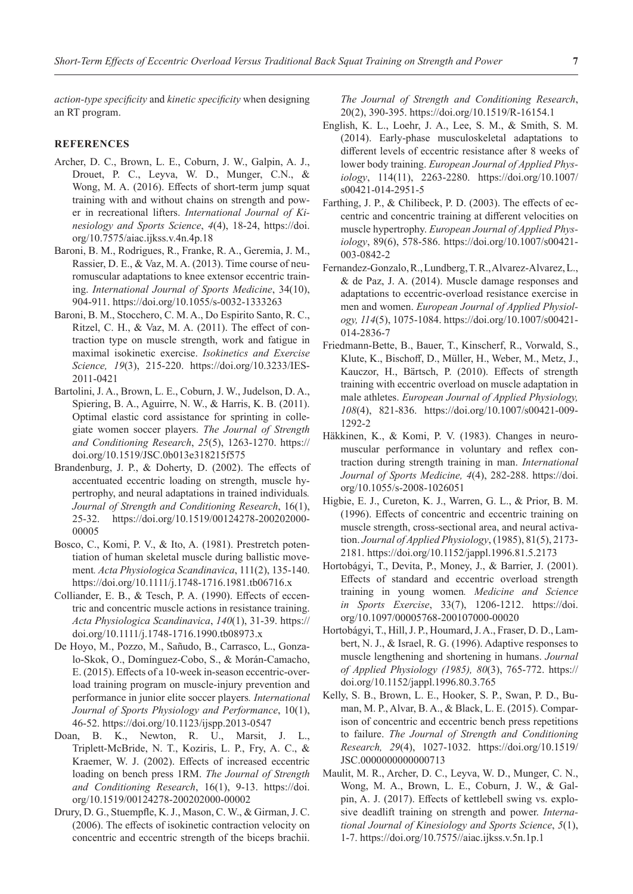*action-type specificity* and *kinetic specificity* when designing an RT program.

## **REFERENCES**

- Archer, D. C., Brown, L. E., Coburn, J. W., Galpin, A. J., Drouet, P. C., Leyva, W. D., Munger, C.N., & Wong, M. A. (2016). Effects of short-term jump squat training with and without chains on strength and power in recreational lifters. *International Journal of Kinesiology and Sports Science*, *4*(4), 18-24, https://doi. org/10.7575/aiac.ijkss.v.4n.4p.18
- Baroni, B. M., Rodrigues, R., Franke, R. A., Geremia, J. M., Rassier, D. E., & Vaz, M. A. (2013). Time course of neuromuscular adaptations to knee extensor eccentric training. *International Journal of Sports Medicine*, 34(10), 904-911. https://doi.org/10.1055/s-0032-1333263
- Baroni, B. M., Stocchero, C. M. A., Do Espirito Santo, R. C., Ritzel, C. H., & Vaz, M. A. (2011). The effect of contraction type on muscle strength, work and fatigue in maximal isokinetic exercise. *Isokinetics and Exercise Science, 19*(3), 215-220. https://doi.org/10.3233/IES-2011-0421
- Bartolini, J. A., Brown, L. E., Coburn, J. W., Judelson, D. A., Spiering, B. A., Aguirre, N. W., & Harris, K. B. (2011). Optimal elastic cord assistance for sprinting in collegiate women soccer players. *The Journal of Strength and Conditioning Research*, *25*(5), 1263-1270. https:// doi.org/10.1519/JSC.0b013e318215f575
- Brandenburg, J. P., & Doherty, D. (2002). The effects of accentuated eccentric loading on strength, muscle hypertrophy, and neural adaptations in trained individuals*. Journal of Strength and Conditioning Research*, 16(1), 25-32. https://doi.org/10.1519/00124278-200202000- 00005
- Bosco, C., Komi, P. V., & Ito, A. (1981). Prestretch potentiation of human skeletal muscle during ballistic movement*. Acta Physiologica Scandinavica*, 111(2), 135-140. https://doi.org/10.1111/j.1748-1716.1981.tb06716.x
- Colliander, E. B., & Tesch, P. A. (1990). Effects of eccentric and concentric muscle actions in resistance training. *Acta Physiologica Scandinavica*, *140*(1), 31-39. https:// doi.org/10.1111/j.1748-1716.1990.tb08973.x
- De Hoyo, M., Pozzo, M., Sañudo, B., Carrasco, L., Gonzalo-Skok, O., Domínguez-Cobo, S., & Morán-Camacho, E. (2015). Effects of a 10-week in-season eccentric-overload training program on muscle-injury prevention and performance in junior elite soccer players*. International Journal of Sports Physiology and Performance*, 10(1), 46-52. https://doi.org/10.1123/ijspp.2013-0547
- Doan, B. K., Newton, R. U., Marsit, J. L., Triplett-McBride, N. T., Koziris, L. P., Fry, A. C., & Kraemer, W. J. (2002). Effects of increased eccentric loading on bench press 1RM. *The Journal of Strength and Conditioning Research*, 16(1), 9-13. https://doi. org/10.1519/00124278-200202000-00002
- Drury, D. G., Stuempfle, K. J., Mason, C. W., & Girman, J. C. (2006). The effects of isokinetic contraction velocity on concentric and eccentric strength of the biceps brachii.

*The Journal of Strength and Conditioning Research*, 20(2), 390-395. https://doi.org/10.1519/R-16154.1

- English, K. L., Loehr, J. A., Lee, S. M., & Smith, S. M. (2014). Early-phase musculoskeletal adaptations to different levels of eccentric resistance after 8 weeks of lower body training. *European Journal of Applied Physiology*, 114(11), 2263-2280. https://doi.org/10.1007/ s00421-014-2951-5
- Farthing, J. P., & Chilibeck, P. D. (2003). The effects of eccentric and concentric training at different velocities on muscle hypertrophy. *European Journal of Applied Physiology*, 89(6), 578-586. https://doi.org/10.1007/s00421- 003-0842-2
- Fernandez-Gonzalo, R., Lundberg, T. R., Alvarez-Alvarez,L., & de Paz, J. A. (2014). Muscle damage responses and adaptations to eccentric-overload resistance exercise in men and women. *European Journal of Applied Physiology, 114*(5), 1075-1084. https://doi.org/10.1007/s00421- 014-2836-7
- Friedmann-Bette, B., Bauer, T., Kinscherf, R., Vorwald, S., Klute, K., Bischoff, D., Müller, H., Weber, M., Metz, J., Kauczor, H., Bärtsch, P. (2010). Effects of strength training with eccentric overload on muscle adaptation in male athletes. *European Journal of Applied Physiology, 108*(4), 821-836. https://doi.org/10.1007/s00421-009- 1292-2
- Häkkinen, K., & Komi, P. V. (1983). Changes in neuromuscular performance in voluntary and reflex contraction during strength training in man. *International Journal of Sports Medicine, 4*(4), 282-288. https://doi. org/10.1055/s-2008-1026051
- Higbie, E. J., Cureton, K. J., Warren, G. L., & Prior, B. M. (1996). Effects of concentric and eccentric training on muscle strength, cross-sectional area, and neural activation. *Journal of Applied Physiology*, (1985), 81(5), 2173- 2181. https://doi.org/10.1152/jappl.1996.81.5.2173
- Hortobágyi, T., Devita, P., Money, J., & Barrier, J. (2001). Effects of standard and eccentric overload strength training in young women*. Medicine and Science in Sports Exercise*, 33(7), 1206-1212. https://doi. org/10.1097/00005768-200107000-00020
- Hortobágyi, T., Hill, J. P., Houmard, J. A., Fraser, D. D., Lambert, N. J., & Israel, R. G. (1996). Adaptive responses to muscle lengthening and shortening in humans. *Journal of Applied Physiology (1985), 80*(3), 765-772. https:// doi.org/10.1152/jappl.1996.80.3.765
- Kelly, S. B., Brown, L. E., Hooker, S. P., Swan, P. D., Buman, M. P., Alvar, B. A., & Black, L. E. (2015). Comparison of concentric and eccentric bench press repetitions to failure. *The Journal of Strength and Conditioning Research, 29*(4), 1027-1032. https://doi.org/10.1519/ JSC.0000000000000713
- Maulit, M. R., Archer, D. C., Leyva, W. D., Munger, C. N., Wong, M. A., Brown, L. E., Coburn, J. W., & Galpin, A. J. (2017). Effects of kettlebell swing vs. explosive deadlift training on strength and power. *International Journal of Kinesiology and Sports Science*, *5*(1), 1-7. https://doi.org/10.7575//aiac.ijkss.v.5n.1p.1